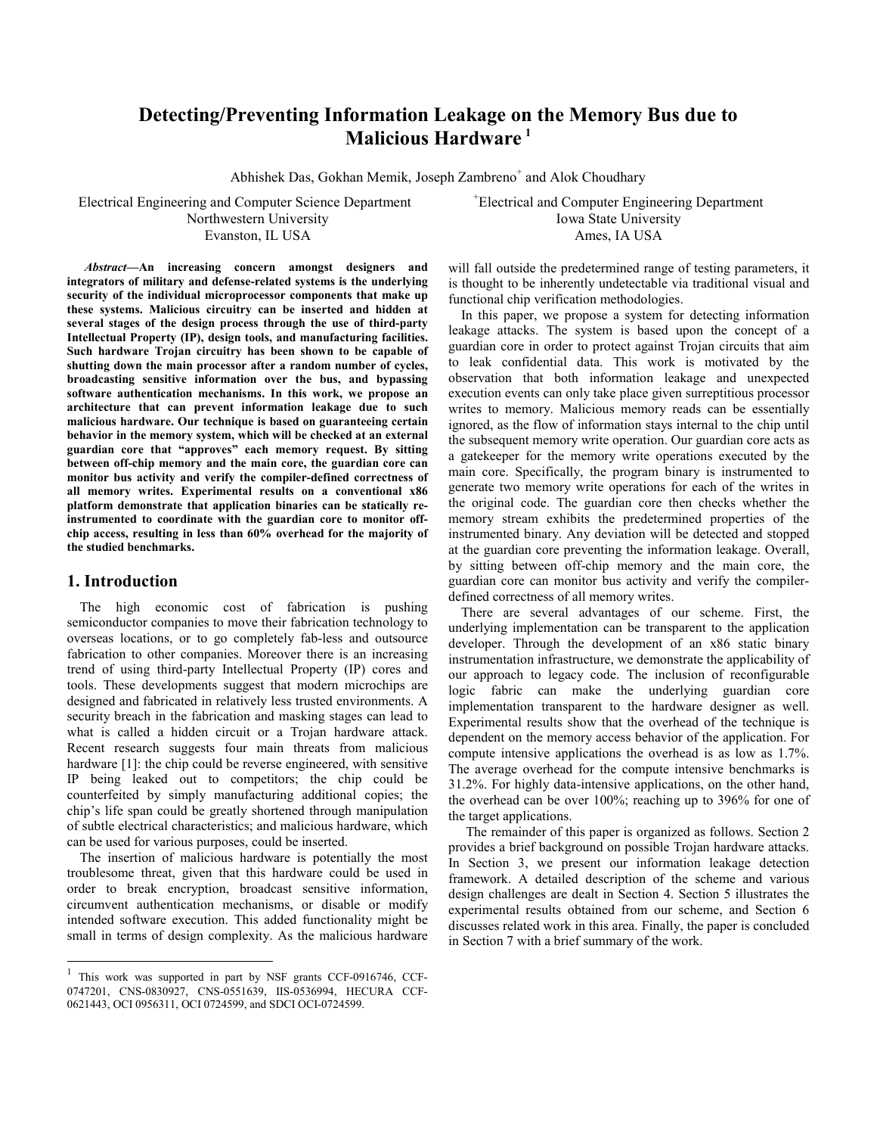# **Detecting/Preventing Information Leakage on the Memory Bus due to Malicious Hardware <sup>1</sup>**

Abhishek Das, Gokhan Memik, Joseph Zambreno<sup>+</sup> and Alok Choudhary

Electrical Engineering and Computer Science Department Northwestern University Evanston, IL USA

+ Electrical and Computer Engineering Department Iowa State University Ames, IA USA

*Abstract—***An increasing concern amongst designers and integrators of military and defense-related systems is the underlying security of the individual microprocessor components that make up these systems. Malicious circuitry can be inserted and hidden at several stages of the design process through the use of third-party Intellectual Property (IP), design tools, and manufacturing facilities. Such hardware Trojan circuitry has been shown to be capable of shutting down the main processor after a random number of cycles, broadcasting sensitive information over the bus, and bypassing software authentication mechanisms. In this work, we propose an architecture that can prevent information leakage due to such malicious hardware. Our technique is based on guaranteeing certain behavior in the memory system, which will be checked at an external guardian core that "approves" each memory request. By sitting between off-chip memory and the main core, the guardian core can monitor bus activity and verify the compiler-defined correctness of all memory writes. Experimental results on a conventional x86 platform demonstrate that application binaries can be statically reinstrumented to coordinate with the guardian core to monitor offchip access, resulting in less than 60% overhead for the majority of the studied benchmarks. 1**

## **1. Introduction**

-

The high economic cost of fabrication is pushing semiconductor companies to move their fabrication technology to overseas locations, or to go completely fab-less and outsource fabrication to other companies. Moreover there is an increasing trend of using third-party Intellectual Property (IP) cores and tools. These developments suggest that modern microchips are designed and fabricated in relatively less trusted environments. A security breach in the fabrication and masking stages can lead to what is called a hidden circuit or a Trojan hardware attack. Recent research suggests four main threats from malicious hardware [1]: the chip could be reverse engineered, with sensitive IP being leaked out to competitors; the chip could be counterfeited by simply manufacturing additional copies; the chip's life span could be greatly shortened through manipulation of subtle electrical characteristics; and malicious hardware, which can be used for various purposes, could be inserted.

The insertion of malicious hardware is potentially the most troublesome threat, given that this hardware could be used in order to break encryption, broadcast sensitive information, circumvent authentication mechanisms, or disable or modify intended software execution. This added functionality might be small in terms of design complexity. As the malicious hardware will fall outside the predetermined range of testing parameters, it is thought to be inherently undetectable via traditional visual and functional chip verification methodologies.

In this paper, we propose a system for detecting information leakage attacks. The system is based upon the concept of a guardian core in order to protect against Trojan circuits that aim to leak confidential data. This work is motivated by the observation that both information leakage and unexpected execution events can only take place given surreptitious processor writes to memory. Malicious memory reads can be essentially ignored, as the flow of information stays internal to the chip until the subsequent memory write operation. Our guardian core acts as a gatekeeper for the memory write operations executed by the main core. Specifically, the program binary is instrumented to generate two memory write operations for each of the writes in the original code. The guardian core then checks whether the memory stream exhibits the predetermined properties of the instrumented binary. Any deviation will be detected and stopped at the guardian core preventing the information leakage. Overall, by sitting between off-chip memory and the main core, the guardian core can monitor bus activity and verify the compilerdefined correctness of all memory writes.

There are several advantages of our scheme. First, the underlying implementation can be transparent to the application developer. Through the development of an x86 static binary instrumentation infrastructure, we demonstrate the applicability of our approach to legacy code. The inclusion of reconfigurable logic fabric can make the underlying guardian core implementation transparent to the hardware designer as well. Experimental results show that the overhead of the technique is dependent on the memory access behavior of the application. For compute intensive applications the overhead is as low as 1.7%. The average overhead for the compute intensive benchmarks is 31.2%. For highly data-intensive applications, on the other hand, the overhead can be over 100%; reaching up to 396% for one of the target applications.

The remainder of this paper is organized as follows. Section 2 provides a brief background on possible Trojan hardware attacks. In Section 3, we present our information leakage detection framework. A detailed description of the scheme and various design challenges are dealt in Section 4. Section 5 illustrates the experimental results obtained from our scheme, and Section 6 discusses related work in this area. Finally, the paper is concluded in Section 7 with a brief summary of the work.

<sup>1</sup> This work was supported in part by NSF grants CCF-0916746, CCF-0747201, CNS-0830927, CNS-0551639, IIS-0536994, HECURA CCF-0621443, OCI 0956311, OCI 0724599, and SDCI OCI-0724599.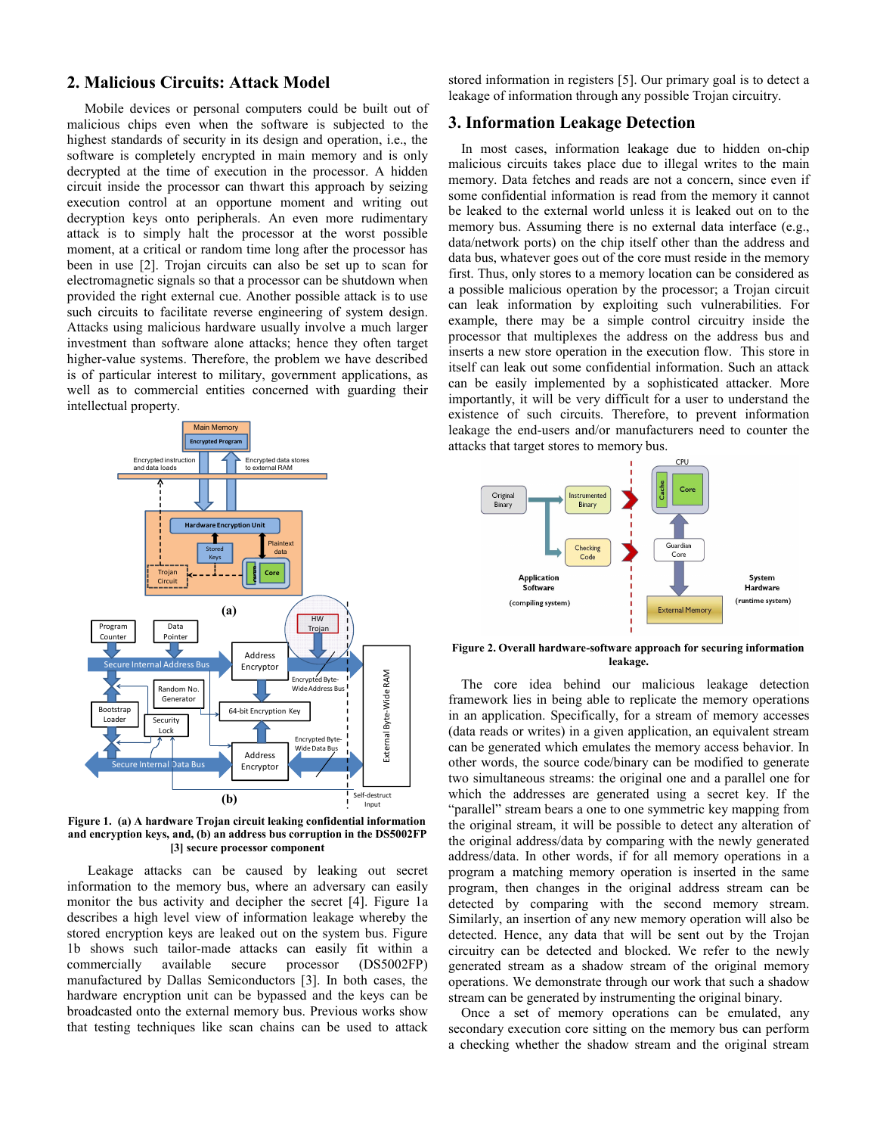## **2. Malicious Circuits: Attack Model**

Mobile devices or personal computers could be built out of malicious chips even when the software is subjected to the highest standards of security in its design and operation, i.e., the software is completely encrypted in main memory and is only decrypted at the time of execution in the processor. A hidden circuit inside the processor can thwart this approach by seizing execution control at an opportune moment and writing out decryption keys onto peripherals. An even more rudimentary attack is to simply halt the processor at the worst possible moment, at a critical or random time long after the processor has been in use [2]. Trojan circuits can also be set up to scan for electromagnetic signals so that a processor can be shutdown when provided the right external cue. Another possible attack is to use such circuits to facilitate reverse engineering of system design. Attacks using malicious hardware usually involve a much larger investment than software alone attacks; hence they often target higher-value systems. Therefore, the problem we have described is of particular interest to military, government applications, as well as to commercial entities concerned with guarding their intellectual property.



**Figure 1. (a) A hardware Trojan circuit leaking confidential information and encryption keys, and, (b) an address bus corruption in the DS5002FP [3] secure processor component**

Leakage attacks can be caused by leaking out secret information to the memory bus, where an adversary can easily monitor the bus activity and decipher the secret [4]. Figure 1a describes a high level view of information leakage whereby the stored encryption keys are leaked out on the system bus. Figure 1b shows such tailor-made attacks can easily fit within a commercially available secure processor (DS5002FP) manufactured by Dallas Semiconductors [3]. In both cases, the hardware encryption unit can be bypassed and the keys can be broadcasted onto the external memory bus. Previous works show that testing techniques like scan chains can be used to attack stored information in registers [5]. Our primary goal is to detect a leakage of information through any possible Trojan circuitry.

## **3. Information Leakage Detection**

In most cases, information leakage due to hidden on-chip malicious circuits takes place due to illegal writes to the main memory. Data fetches and reads are not a concern, since even if some confidential information is read from the memory it cannot be leaked to the external world unless it is leaked out on to the memory bus. Assuming there is no external data interface (e.g., data/network ports) on the chip itself other than the address and data bus, whatever goes out of the core must reside in the memory first. Thus, only stores to a memory location can be considered as a possible malicious operation by the processor; a Trojan circuit can leak information by exploiting such vulnerabilities. For example, there may be a simple control circuitry inside the processor that multiplexes the address on the address bus and inserts a new store operation in the execution flow. This store in itself can leak out some confidential information. Such an attack can be easily implemented by a sophisticated attacker. More importantly, it will be very difficult for a user to understand the existence of such circuits. Therefore, to prevent information leakage the end-users and/or manufacturers need to counter the attacks that target stores to memory bus.



**Figure 2. Overall hardware-software approach for securing information leakage.** 

The core idea behind our malicious leakage detection framework lies in being able to replicate the memory operations in an application. Specifically, for a stream of memory accesses (data reads or writes) in a given application, an equivalent stream can be generated which emulates the memory access behavior. In other words, the source code/binary can be modified to generate two simultaneous streams: the original one and a parallel one for which the addresses are generated using a secret key. If the "parallel" stream bears a one to one symmetric key mapping from the original stream, it will be possible to detect any alteration of the original address/data by comparing with the newly generated address/data. In other words, if for all memory operations in a program a matching memory operation is inserted in the same program, then changes in the original address stream can be detected by comparing with the second memory stream. Similarly, an insertion of any new memory operation will also be detected. Hence, any data that will be sent out by the Trojan circuitry can be detected and blocked. We refer to the newly generated stream as a shadow stream of the original memory operations. We demonstrate through our work that such a shadow stream can be generated by instrumenting the original binary.

Once a set of memory operations can be emulated, any secondary execution core sitting on the memory bus can perform a checking whether the shadow stream and the original stream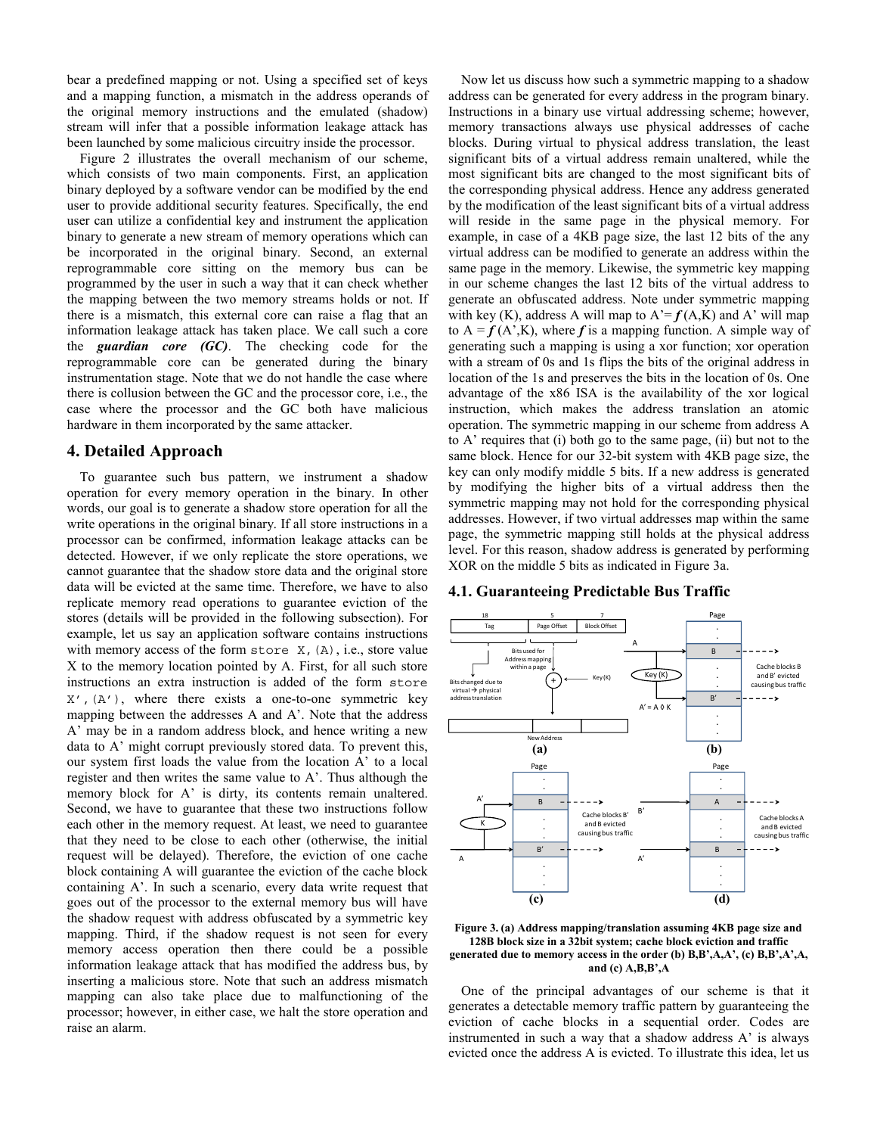bear a predefined mapping or not. Using a specified set of keys and a mapping function, a mismatch in the address operands of the original memory instructions and the emulated (shadow) stream will infer that a possible information leakage attack has been launched by some malicious circuitry inside the processor.

Figure 2 illustrates the overall mechanism of our scheme, which consists of two main components. First, an application binary deployed by a software vendor can be modified by the end user to provide additional security features. Specifically, the end user can utilize a confidential key and instrument the application binary to generate a new stream of memory operations which can be incorporated in the original binary. Second, an external reprogrammable core sitting on the memory bus can be programmed by the user in such a way that it can check whether the mapping between the two memory streams holds or not. If there is a mismatch, this external core can raise a flag that an information leakage attack has taken place. We call such a core the *guardian core (GC)*. The checking code for the reprogrammable core can be generated during the binary instrumentation stage. Note that we do not handle the case where there is collusion between the GC and the processor core, i.e., the case where the processor and the GC both have malicious hardware in them incorporated by the same attacker.

## **4. Detailed Approach**

To guarantee such bus pattern, we instrument a shadow operation for every memory operation in the binary. In other words, our goal is to generate a shadow store operation for all the write operations in the original binary. If all store instructions in a processor can be confirmed, information leakage attacks can be detected. However, if we only replicate the store operations, we cannot guarantee that the shadow store data and the original store data will be evicted at the same time. Therefore, we have to also replicate memory read operations to guarantee eviction of the stores (details will be provided in the following subsection). For example, let us say an application software contains instructions with memory access of the form store  $X$ ,  $(A)$ , i.e., store value X to the memory location pointed by A. First, for all such store instructions an extra instruction is added of the form store  $X'$ ,  $(A')$ , where there exists a one-to-one symmetric key mapping between the addresses A and A'. Note that the address A' may be in a random address block, and hence writing a new data to A' might corrupt previously stored data. To prevent this, our system first loads the value from the location A' to a local register and then writes the same value to A'. Thus although the memory block for A' is dirty, its contents remain unaltered. Second, we have to guarantee that these two instructions follow each other in the memory request. At least, we need to guarantee that they need to be close to each other (otherwise, the initial request will be delayed). Therefore, the eviction of one cache block containing A will guarantee the eviction of the cache block containing A'. In such a scenario, every data write request that goes out of the processor to the external memory bus will have the shadow request with address obfuscated by a symmetric key mapping. Third, if the shadow request is not seen for every memory access operation then there could be a possible information leakage attack that has modified the address bus, by inserting a malicious store. Note that such an address mismatch mapping can also take place due to malfunctioning of the processor; however, in either case, we halt the store operation and raise an alarm.

Now let us discuss how such a symmetric mapping to a shadow address can be generated for every address in the program binary. Instructions in a binary use virtual addressing scheme; however, memory transactions always use physical addresses of cache blocks. During virtual to physical address translation, the least significant bits of a virtual address remain unaltered, while the most significant bits are changed to the most significant bits of the corresponding physical address. Hence any address generated by the modification of the least significant bits of a virtual address will reside in the same page in the physical memory. For example, in case of a 4KB page size, the last 12 bits of the any virtual address can be modified to generate an address within the same page in the memory. Likewise, the symmetric key mapping in our scheme changes the last 12 bits of the virtual address to generate an obfuscated address. Note under symmetric mapping with key (K), address A will map to  $A' = f(A,K)$  and A' will map to  $A = f(A^T, K)$ , where *f* is a mapping function. A simple way of generating such a mapping is using a xor function; xor operation with a stream of 0s and 1s flips the bits of the original address in location of the 1s and preserves the bits in the location of 0s. One advantage of the x86 ISA is the availability of the xor logical instruction, which makes the address translation an atomic operation. The symmetric mapping in our scheme from address A to A' requires that (i) both go to the same page, (ii) but not to the same block. Hence for our 32-bit system with 4KB page size, the key can only modify middle 5 bits. If a new address is generated by modifying the higher bits of a virtual address then the symmetric mapping may not hold for the corresponding physical addresses. However, if two virtual addresses map within the same page, the symmetric mapping still holds at the physical address level. For this reason, shadow address is generated by performing XOR on the middle 5 bits as indicated in Figure 3a.

#### **4.1. Guaranteeing Predictable Bus Traffic**



**Figure 3. (a) Address mapping/translation assuming 4KB page size and 128B block size in a 32bit system; cache block eviction and traffic generated due to memory access in the order (b) B,B',A,A', (c) B,B',A',A, and (c) A,B,B',A** 

One of the principal advantages of our scheme is that it generates a detectable memory traffic pattern by guaranteeing the eviction of cache blocks in a sequential order. Codes are instrumented in such a way that a shadow address A' is always evicted once the address A is evicted. To illustrate this idea, let us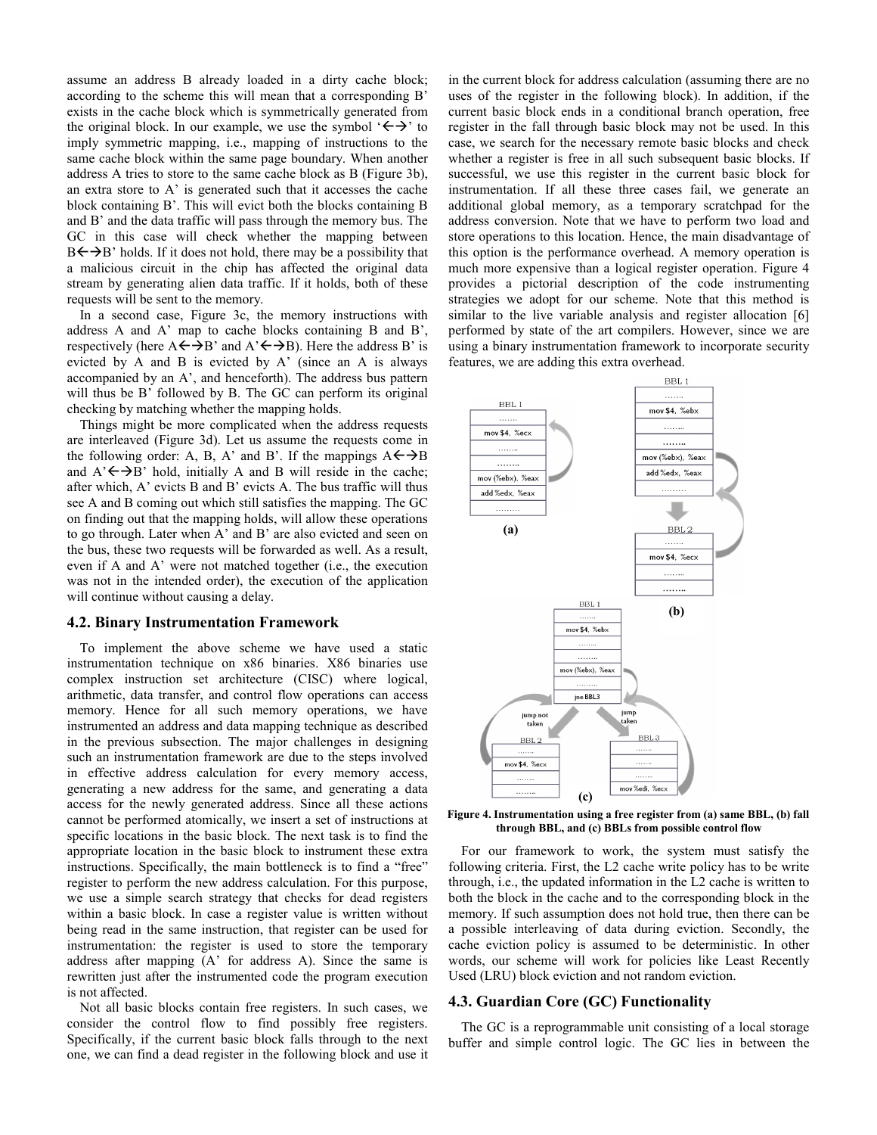assume an address B already loaded in a dirty cache block; according to the scheme this will mean that a corresponding B' exists in the cache block which is symmetrically generated from the original block. In our example, we use the symbol  $\leftrightarrow$  to imply symmetric mapping, i.e., mapping of instructions to the same cache block within the same page boundary. When another address A tries to store to the same cache block as B (Figure 3b), an extra store to A' is generated such that it accesses the cache block containing B'. This will evict both the blocks containing B and B' and the data traffic will pass through the memory bus. The GC in this case will check whether the mapping between  $B \leftarrow \rightarrow B'$  holds. If it does not hold, there may be a possibility that a malicious circuit in the chip has affected the original data stream by generating alien data traffic. If it holds, both of these requests will be sent to the memory.

In a second case, Figure 3c, the memory instructions with address A and A' map to cache blocks containing B and B', respectively (here  $A \leftarrow \exists B'$  and  $A' \leftarrow \exists B$ ). Here the address B' is evicted by A and B is evicted by A' (since an A is always accompanied by an A', and henceforth). The address bus pattern will thus be B' followed by B. The GC can perform its original checking by matching whether the mapping holds.

Things might be more complicated when the address requests are interleaved (Figure 3d). Let us assume the requests come in the following order: A, B, A' and B'. If the mappings  $A \leftarrow \rightarrow B$ and  $A' \leftarrow B'$  hold, initially A and B will reside in the cache; after which, A' evicts B and B' evicts A. The bus traffic will thus see A and B coming out which still satisfies the mapping. The GC on finding out that the mapping holds, will allow these operations to go through. Later when A' and B' are also evicted and seen on the bus, these two requests will be forwarded as well. As a result, even if A and A' were not matched together (i.e., the execution was not in the intended order), the execution of the application will continue without causing a delay.

#### **4.2. Binary Instrumentation Framework**

To implement the above scheme we have used a static instrumentation technique on x86 binaries. X86 binaries use complex instruction set architecture (CISC) where logical, arithmetic, data transfer, and control flow operations can access memory. Hence for all such memory operations, we have instrumented an address and data mapping technique as described in the previous subsection. The major challenges in designing such an instrumentation framework are due to the steps involved in effective address calculation for every memory access, generating a new address for the same, and generating a data access for the newly generated address. Since all these actions cannot be performed atomically, we insert a set of instructions at specific locations in the basic block. The next task is to find the appropriate location in the basic block to instrument these extra instructions. Specifically, the main bottleneck is to find a "free" register to perform the new address calculation. For this purpose, we use a simple search strategy that checks for dead registers within a basic block. In case a register value is written without being read in the same instruction, that register can be used for instrumentation: the register is used to store the temporary address after mapping (A' for address A). Since the same is rewritten just after the instrumented code the program execution is not affected.

Not all basic blocks contain free registers. In such cases, we consider the control flow to find possibly free registers. Specifically, if the current basic block falls through to the next one, we can find a dead register in the following block and use it in the current block for address calculation (assuming there are no uses of the register in the following block). In addition, if the current basic block ends in a conditional branch operation, free register in the fall through basic block may not be used. In this case, we search for the necessary remote basic blocks and check whether a register is free in all such subsequent basic blocks. If successful, we use this register in the current basic block for instrumentation. If all these three cases fail, we generate an additional global memory, as a temporary scratchpad for the address conversion. Note that we have to perform two load and store operations to this location. Hence, the main disadvantage of this option is the performance overhead. A memory operation is much more expensive than a logical register operation. Figure 4 provides a pictorial description of the code instrumenting strategies we adopt for our scheme. Note that this method is similar to the live variable analysis and register allocation [6] performed by state of the art compilers. However, since we are using a binary instrumentation framework to incorporate security features, we are adding this extra overhead.



**Figure 4. Instrumentation using a free register from (a) same BBL, (b) fall through BBL, and (c) BBLs from possible control flow** 

For our framework to work, the system must satisfy the following criteria. First, the L2 cache write policy has to be write through, i.e., the updated information in the L2 cache is written to both the block in the cache and to the corresponding block in the memory. If such assumption does not hold true, then there can be a possible interleaving of data during eviction. Secondly, the cache eviction policy is assumed to be deterministic. In other words, our scheme will work for policies like Least Recently Used (LRU) block eviction and not random eviction.

#### **4.3. Guardian Core (GC) Functionality**

The GC is a reprogrammable unit consisting of a local storage buffer and simple control logic. The GC lies in between the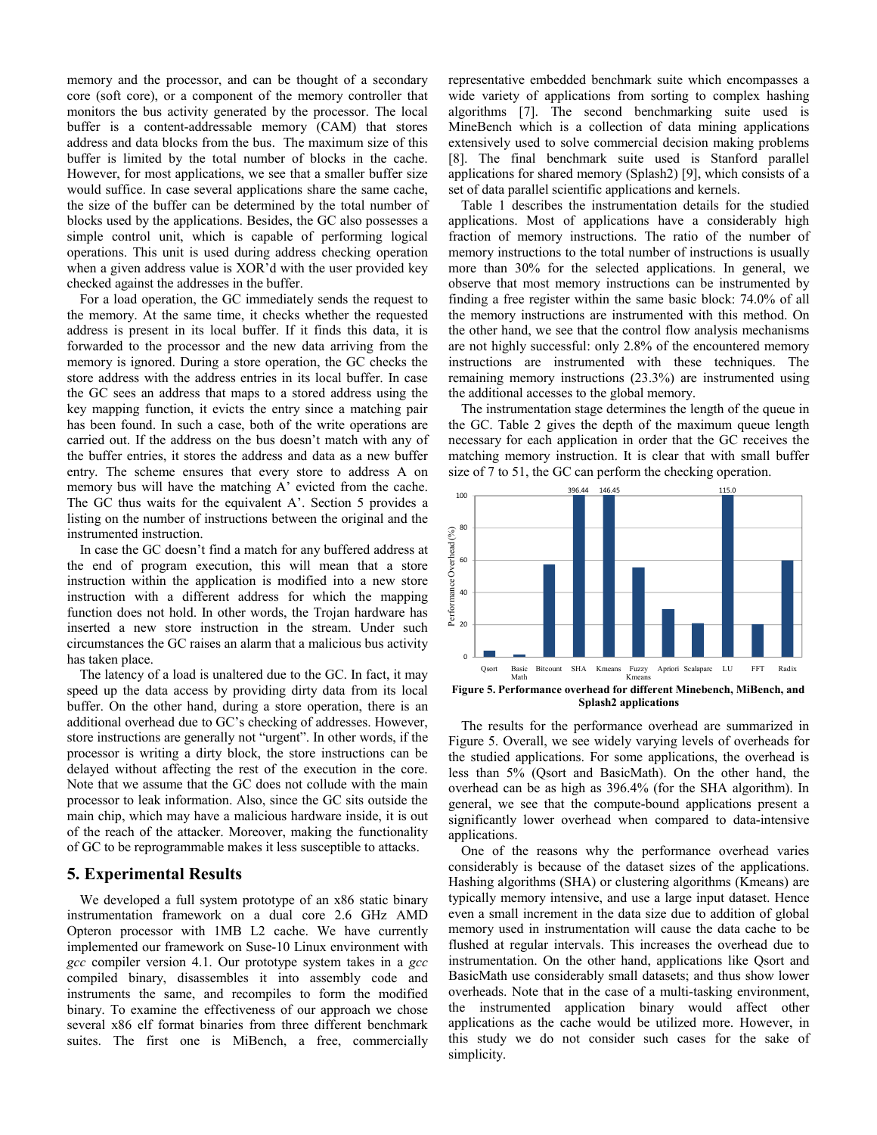memory and the processor, and can be thought of a secondary core (soft core), or a component of the memory controller that monitors the bus activity generated by the processor. The local buffer is a content-addressable memory (CAM) that stores address and data blocks from the bus. The maximum size of this buffer is limited by the total number of blocks in the cache. However, for most applications, we see that a smaller buffer size would suffice. In case several applications share the same cache, the size of the buffer can be determined by the total number of blocks used by the applications. Besides, the GC also possesses a simple control unit, which is capable of performing logical operations. This unit is used during address checking operation when a given address value is XOR'd with the user provided key checked against the addresses in the buffer.

For a load operation, the GC immediately sends the request to the memory. At the same time, it checks whether the requested address is present in its local buffer. If it finds this data, it is forwarded to the processor and the new data arriving from the memory is ignored. During a store operation, the GC checks the store address with the address entries in its local buffer. In case the GC sees an address that maps to a stored address using the key mapping function, it evicts the entry since a matching pair has been found. In such a case, both of the write operations are carried out. If the address on the bus doesn't match with any of the buffer entries, it stores the address and data as a new buffer entry. The scheme ensures that every store to address A on memory bus will have the matching A' evicted from the cache. The GC thus waits for the equivalent A'. Section 5 provides a listing on the number of instructions between the original and the instrumented instruction.

In case the GC doesn't find a match for any buffered address at the end of program execution, this will mean that a store instruction within the application is modified into a new store instruction with a different address for which the mapping function does not hold. In other words, the Trojan hardware has inserted a new store instruction in the stream. Under such circumstances the GC raises an alarm that a malicious bus activity has taken place.

The latency of a load is unaltered due to the GC. In fact, it may speed up the data access by providing dirty data from its local buffer. On the other hand, during a store operation, there is an additional overhead due to GC's checking of addresses. However, store instructions are generally not "urgent". In other words, if the processor is writing a dirty block, the store instructions can be delayed without affecting the rest of the execution in the core. Note that we assume that the GC does not collude with the main processor to leak information. Also, since the GC sits outside the main chip, which may have a malicious hardware inside, it is out of the reach of the attacker. Moreover, making the functionality of GC to be reprogrammable makes it less susceptible to attacks.

## **5. Experimental Results**

We developed a full system prototype of an x86 static binary instrumentation framework on a dual core 2.6 GHz AMD Opteron processor with 1MB L2 cache. We have currently implemented our framework on Suse-10 Linux environment with *gcc* compiler version 4.1. Our prototype system takes in a *gcc*  compiled binary, disassembles it into assembly code and instruments the same, and recompiles to form the modified binary. To examine the effectiveness of our approach we chose several x86 elf format binaries from three different benchmark suites. The first one is MiBench, a free, commercially

representative embedded benchmark suite which encompasses a wide variety of applications from sorting to complex hashing algorithms [7]. The second benchmarking suite used is MineBench which is a collection of data mining applications extensively used to solve commercial decision making problems [8]. The final benchmark suite used is Stanford parallel applications for shared memory (Splash2) [9], which consists of a set of data parallel scientific applications and kernels.

Table 1 describes the instrumentation details for the studied applications. Most of applications have a considerably high fraction of memory instructions. The ratio of the number of memory instructions to the total number of instructions is usually more than 30% for the selected applications. In general, we observe that most memory instructions can be instrumented by finding a free register within the same basic block: 74.0% of all the memory instructions are instrumented with this method. On the other hand, we see that the control flow analysis mechanisms are not highly successful: only 2.8% of the encountered memory instructions are instrumented with these techniques. The remaining memory instructions (23.3%) are instrumented using the additional accesses to the global memory.

The instrumentation stage determines the length of the queue in the GC. Table 2 gives the depth of the maximum queue length necessary for each application in order that the GC receives the matching memory instruction. It is clear that with small buffer size of 7 to 51, the GC can perform the checking operation.



**Figure 5. Performance overhead for different Minebench, MiBench, and Splash2 applications** 

The results for the performance overhead are summarized in Figure 5. Overall, we see widely varying levels of overheads for the studied applications. For some applications, the overhead is less than 5% (Qsort and BasicMath). On the other hand, the overhead can be as high as 396.4% (for the SHA algorithm). In general, we see that the compute-bound applications present a significantly lower overhead when compared to data-intensive applications.

One of the reasons why the performance overhead varies considerably is because of the dataset sizes of the applications. Hashing algorithms (SHA) or clustering algorithms (Kmeans) are typically memory intensive, and use a large input dataset. Hence even a small increment in the data size due to addition of global memory used in instrumentation will cause the data cache to be flushed at regular intervals. This increases the overhead due to instrumentation. On the other hand, applications like Qsort and BasicMath use considerably small datasets; and thus show lower overheads. Note that in the case of a multi-tasking environment, the instrumented application binary would affect other applications as the cache would be utilized more. However, in this study we do not consider such cases for the sake of simplicity.